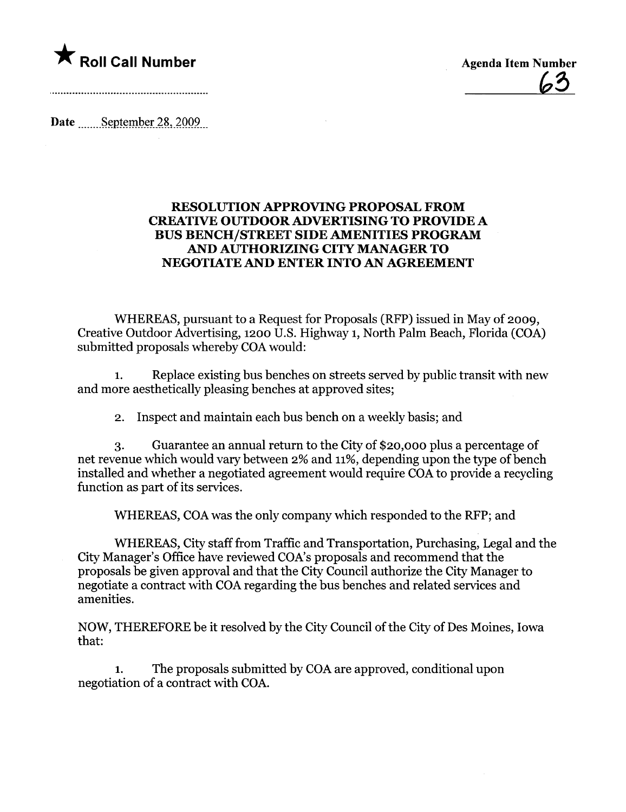

Date September 28, 2009

## RESOLUTION APPROVING PROPOSAL FROM CREATIVE OUTDOOR ADVERTISING TO PROVIDE A BUS BENCH/STREET SIDE AMENITIES PROGRA AND AUTHORIZING CITY MANAGER TO NEGOTIATE AND ENTER INTO AN AGREEMENT

WHEREAS, pursuant to a Request for Proposals (RFP) issued in May of 2009, Creative Outdoor Advertising, 1200 U.S. Highway 1, North Palm Beach, Florida (COA) submitted proposals whereby COA would:

1. Replace existing bus benches on streets served by public transit with new and more aesthetically pleasing benches at approved sites;

2. Inspect and maintain each bus bench on a weekly basis; and

3. Guarantee an annual return to the City of \$20,000 plus a percentage of net revenue which would vary between 2% and 11%, depending upon the type of bench installed and whether a negotiated agreement would require COA to provide a recycling function as part of its services.

WHEREAS, COA was the only company which responded to the RFP; and

WHEREAS, City staff from Traffic and Transportation, Purchasing, Legal and the City Manager's Office have reviewed COA's proposals and recommend that the proposals be given approval and that the City Council authorize the City Manager to negotiate a contract with COA regarding the bus benches and related services and amenities.

NOW, THEREFORE be it resolved by the City Council of the City of Des Moines, Iowa that:

The proposals submitted by COA are approved, conditional upon negotiation of a contract with COA.